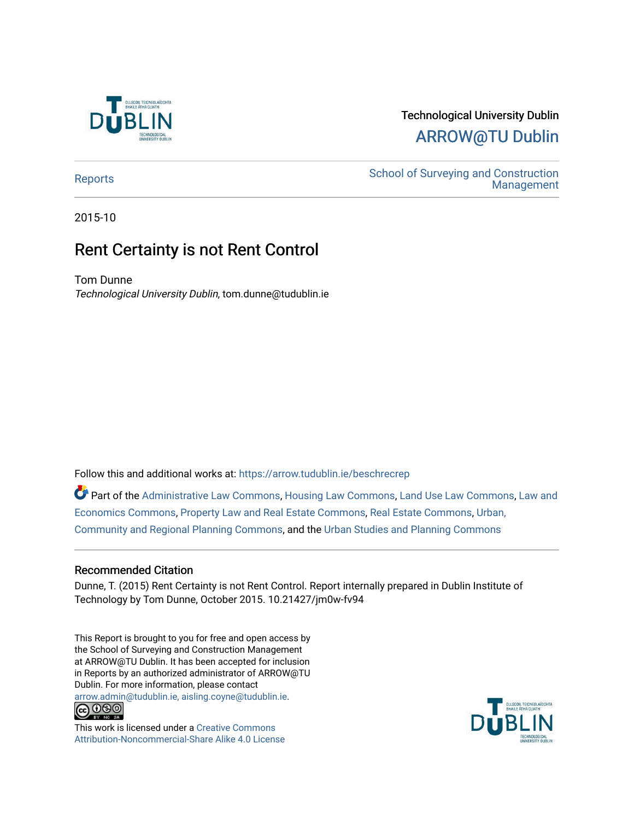

# Technological University Dublin [ARROW@TU Dublin](https://arrow.tudublin.ie/)

[Reports](https://arrow.tudublin.ie/beschrecrep) Reports Accounts School of Surveying and Construction<br>Management [Management](https://arrow.tudublin.ie/beschrec) 

2015-10

# Rent Certainty is not Rent Control

Tom Dunne Technological University Dublin, tom.dunne@tudublin.ie

Follow this and additional works at: [https://arrow.tudublin.ie/beschrecrep](https://arrow.tudublin.ie/beschrecrep?utm_source=arrow.tudublin.ie%2Fbeschrecrep%2F12&utm_medium=PDF&utm_campaign=PDFCoverPages) 

Part of the [Administrative Law Commons,](http://network.bepress.com/hgg/discipline/579?utm_source=arrow.tudublin.ie%2Fbeschrecrep%2F12&utm_medium=PDF&utm_campaign=PDFCoverPages) [Housing Law Commons,](http://network.bepress.com/hgg/discipline/846?utm_source=arrow.tudublin.ie%2Fbeschrecrep%2F12&utm_medium=PDF&utm_campaign=PDFCoverPages) [Land Use Law Commons,](http://network.bepress.com/hgg/discipline/852?utm_source=arrow.tudublin.ie%2Fbeschrecrep%2F12&utm_medium=PDF&utm_campaign=PDFCoverPages) Law and [Economics Commons,](http://network.bepress.com/hgg/discipline/612?utm_source=arrow.tudublin.ie%2Fbeschrecrep%2F12&utm_medium=PDF&utm_campaign=PDFCoverPages) [Property Law and Real Estate Commons](http://network.bepress.com/hgg/discipline/897?utm_source=arrow.tudublin.ie%2Fbeschrecrep%2F12&utm_medium=PDF&utm_campaign=PDFCoverPages), [Real Estate Commons,](http://network.bepress.com/hgg/discipline/641?utm_source=arrow.tudublin.ie%2Fbeschrecrep%2F12&utm_medium=PDF&utm_campaign=PDFCoverPages) [Urban,](http://network.bepress.com/hgg/discipline/776?utm_source=arrow.tudublin.ie%2Fbeschrecrep%2F12&utm_medium=PDF&utm_campaign=PDFCoverPages)  [Community and Regional Planning Commons](http://network.bepress.com/hgg/discipline/776?utm_source=arrow.tudublin.ie%2Fbeschrecrep%2F12&utm_medium=PDF&utm_campaign=PDFCoverPages), and the [Urban Studies and Planning Commons](http://network.bepress.com/hgg/discipline/436?utm_source=arrow.tudublin.ie%2Fbeschrecrep%2F12&utm_medium=PDF&utm_campaign=PDFCoverPages)

# Recommended Citation

Dunne, T. (2015) Rent Certainty is not Rent Control. Report internally prepared in Dublin Institute of Technology by Tom Dunne, October 2015. 10.21427/jm0w-fv94

This Report is brought to you for free and open access by the School of Surveying and Construction Management at ARROW@TU Dublin. It has been accepted for inclusion in Reports by an authorized administrator of ARROW@TU Dublin. For more information, please contact [arrow.admin@tudublin.ie, aisling.coyne@tudublin.ie](mailto:arrow.admin@tudublin.ie,%20aisling.coyne@tudublin.ie).<br>
co 000



This work is licensed under a [Creative Commons](http://creativecommons.org/licenses/by-nc-sa/4.0/) [Attribution-Noncommercial-Share Alike 4.0 License](http://creativecommons.org/licenses/by-nc-sa/4.0/)

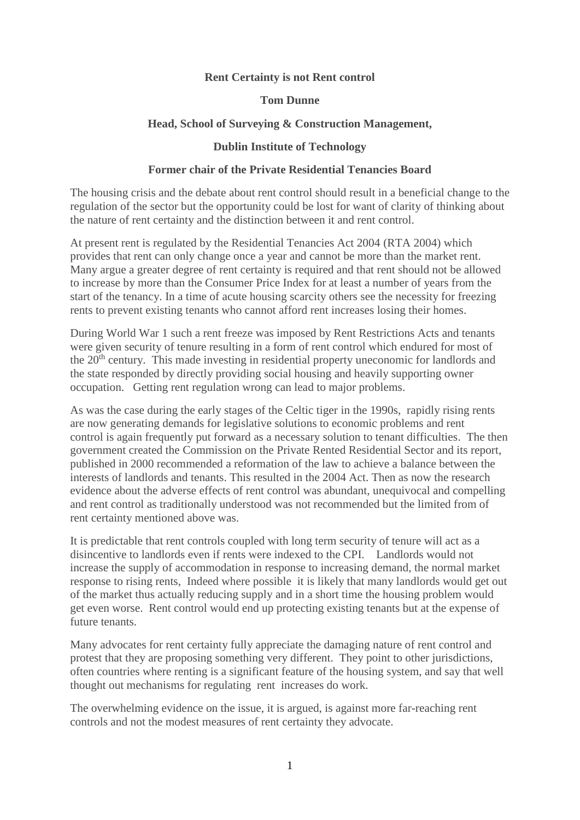# **Rent Certainty is not Rent control**

#### **Tom Dunne**

# **Head, School of Surveying & Construction Management,**

# **Dublin Institute of Technology**

# **Former chair of the Private Residential Tenancies Board**

The housing crisis and the debate about rent control should result in a beneficial change to the regulation of the sector but the opportunity could be lost for want of clarity of thinking about the nature of rent certainty and the distinction between it and rent control.

At present rent is regulated by the Residential Tenancies Act 2004 (RTA 2004) which provides that rent can only change once a year and cannot be more than the market rent. Many argue a greater degree of rent certainty is required and that rent should not be allowed to increase by more than the Consumer Price Index for at least a number of years from the start of the tenancy. In a time of acute housing scarcity others see the necessity for freezing rents to prevent existing tenants who cannot afford rent increases losing their homes.

During World War 1 such a rent freeze was imposed by Rent Restrictions Acts and tenants were given security of tenure resulting in a form of rent control which endured for most of the  $20<sup>th</sup>$  century. This made investing in residential property uneconomic for landlords and the state responded by directly providing social housing and heavily supporting owner occupation. Getting rent regulation wrong can lead to major problems.

As was the case during the early stages of the Celtic tiger in the 1990s, rapidly rising rents are now generating demands for legislative solutions to economic problems and rent control is again frequently put forward as a necessary solution to tenant difficulties. The then government created the Commission on the Private Rented Residential Sector and its report, published in 2000 recommended a reformation of the law to achieve a balance between the interests of landlords and tenants. This resulted in the 2004 Act. Then as now the research evidence about the adverse effects of rent control was abundant, unequivocal and compelling and rent control as traditionally understood was not recommended but the limited from of rent certainty mentioned above was.

It is predictable that rent controls coupled with long term security of tenure will act as a disincentive to landlords even if rents were indexed to the CPI. Landlords would not increase the supply of accommodation in response to increasing demand, the normal market response to rising rents, Indeed where possible it is likely that many landlords would get out of the market thus actually reducing supply and in a short time the housing problem would get even worse. Rent control would end up protecting existing tenants but at the expense of future tenants.

Many advocates for rent certainty fully appreciate the damaging nature of rent control and protest that they are proposing something very different. They point to other jurisdictions, often countries where renting is a significant feature of the housing system, and say that well thought out mechanisms for regulating rent increases do work.

The overwhelming evidence on the issue, it is argued, is against more far-reaching rent controls and not the modest measures of rent certainty they advocate.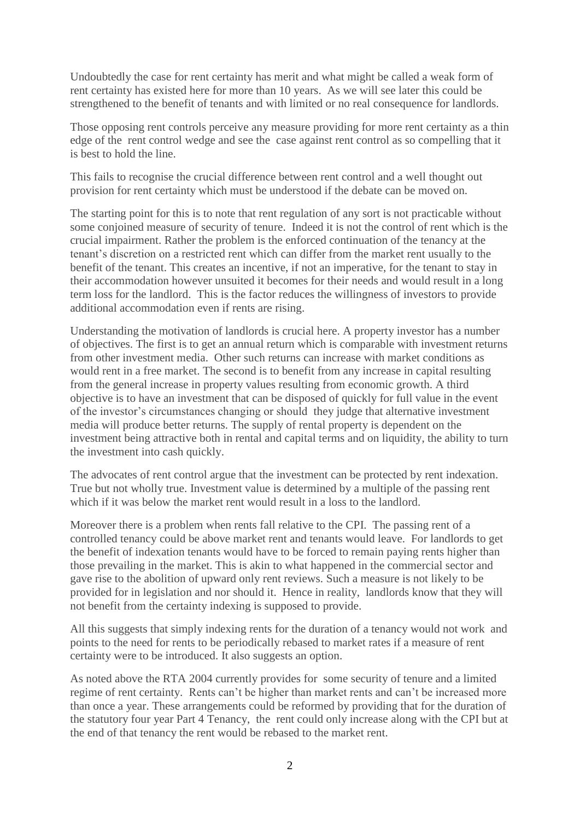Undoubtedly the case for rent certainty has merit and what might be called a weak form of rent certainty has existed here for more than 10 years. As we will see later this could be strengthened to the benefit of tenants and with limited or no real consequence for landlords.

Those opposing rent controls perceive any measure providing for more rent certainty as a thin edge of the rent control wedge and see the case against rent control as so compelling that it is best to hold the line.

This fails to recognise the crucial difference between rent control and a well thought out provision for rent certainty which must be understood if the debate can be moved on.

The starting point for this is to note that rent regulation of any sort is not practicable without some conjoined measure of security of tenure. Indeed it is not the control of rent which is the crucial impairment. Rather the problem is the enforced continuation of the tenancy at the tenant's discretion on a restricted rent which can differ from the market rent usually to the benefit of the tenant. This creates an incentive, if not an imperative, for the tenant to stay in their accommodation however unsuited it becomes for their needs and would result in a long term loss for the landlord. This is the factor reduces the willingness of investors to provide additional accommodation even if rents are rising.

Understanding the motivation of landlords is crucial here. A property investor has a number of objectives. The first is to get an annual return which is comparable with investment returns from other investment media. Other such returns can increase with market conditions as would rent in a free market. The second is to benefit from any increase in capital resulting from the general increase in property values resulting from economic growth. A third objective is to have an investment that can be disposed of quickly for full value in the event of the investor's circumstances changing or should they judge that alternative investment media will produce better returns. The supply of rental property is dependent on the investment being attractive both in rental and capital terms and on liquidity, the ability to turn the investment into cash quickly.

The advocates of rent control argue that the investment can be protected by rent indexation. True but not wholly true. Investment value is determined by a multiple of the passing rent which if it was below the market rent would result in a loss to the landlord.

Moreover there is a problem when rents fall relative to the CPI. The passing rent of a controlled tenancy could be above market rent and tenants would leave. For landlords to get the benefit of indexation tenants would have to be forced to remain paying rents higher than those prevailing in the market. This is akin to what happened in the commercial sector and gave rise to the abolition of upward only rent reviews. Such a measure is not likely to be provided for in legislation and nor should it. Hence in reality, landlords know that they will not benefit from the certainty indexing is supposed to provide.

All this suggests that simply indexing rents for the duration of a tenancy would not work and points to the need for rents to be periodically rebased to market rates if a measure of rent certainty were to be introduced. It also suggests an option.

As noted above the RTA 2004 currently provides for some security of tenure and a limited regime of rent certainty. Rents can't be higher than market rents and can't be increased more than once a year. These arrangements could be reformed by providing that for the duration of the statutory four year Part 4 Tenancy, the rent could only increase along with the CPI but at the end of that tenancy the rent would be rebased to the market rent.